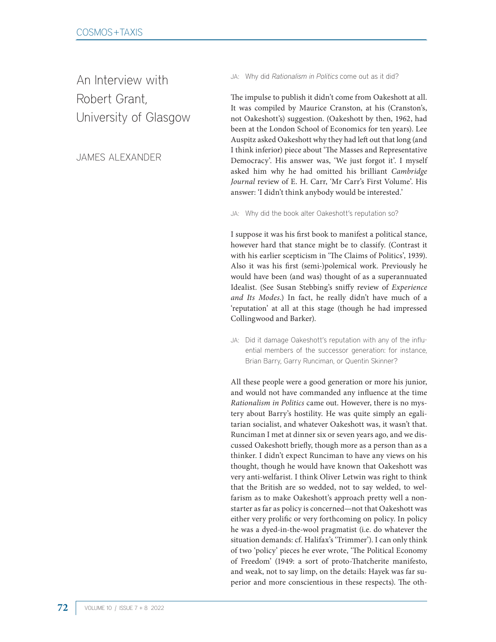An Interview with Robert Grant, University of Glasgow

# JAMES ALEXANDER

JA: Why did Rationalism in Politics come out as it did?

The impulse to publish it didn't come from Oakeshott at all. It was compiled by Maurice Cranston, at his (Cranston's, not Oakeshott's) suggestion. (Oakeshott by then, 1962, had been at the London School of Economics for ten years). Lee Auspitz asked Oakeshott why they had left out that long (and I think inferior) piece about 'The Masses and Representative Democracy'. His answer was, 'We just forgot it'. I myself asked him why he had omitted his brilliant *Cambridge Journal* review of E. H. Carr, 'Mr Carr's First Volume'. His answer: 'I didn't think anybody would be interested.'

JA: Why did the book alter Oakeshott's reputation so?

I suppose it was his first book to manifest a political stance, however hard that stance might be to classify. (Contrast it with his earlier scepticism in 'The Claims of Politics', 1939). Also it was his first (semi-)polemical work. Previously he would have been (and was) thought of as a superannuated Idealist. (See Susan Stebbing's sniffy review of *Experience and Its Modes*.) In fact, he really didn't have much of a 'reputation' at all at this stage (though he had impressed Collingwood and Barker).

JA: Did it damage Oakeshott's reputation with any of the influential members of the successor generation: for instance, Brian Barry, Garry Runciman, or Quentin Skinner?

All these people were a good generation or more his junior, and would not have commanded any influence at the time *Rationalism in Politics* came out. However, there is no mystery about Barry's hostility. He was quite simply an egalitarian socialist, and whatever Oakeshott was, it wasn't that. Runciman I met at dinner six or seven years ago, and we discussed Oakeshott briefly, though more as a person than as a thinker. I didn't expect Runciman to have any views on his thought, though he would have known that Oakeshott was very anti-welfarist. I think Oliver Letwin was right to think that the British are so wedded, not to say welded, to welfarism as to make Oakeshott's approach pretty well a nonstarter as far as policy is concerned—not that Oakeshott was either very prolific or very forthcoming on policy. In policy he was a dyed-in-the-wool pragmatist (i.e. do whatever the situation demands: cf. Halifax's 'Trimmer'). I can only think of two 'policy' pieces he ever wrote, 'The Political Economy of Freedom' (1949: a sort of proto-Thatcherite manifesto, and weak, not to say limp, on the details: Hayek was far superior and more conscientious in these respects). The oth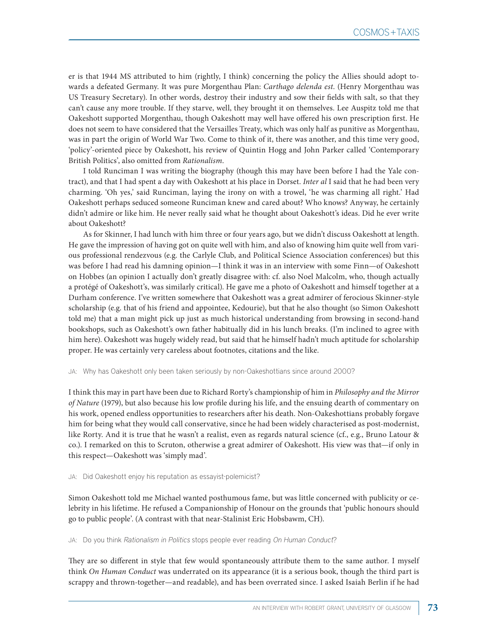er is that 1944 MS attributed to him (rightly, I think) concerning the policy the Allies should adopt towards a defeated Germany. It was pure Morgenthau Plan: *Carthago delenda est*. (Henry Morgenthau was US Treasury Secretary). In other words, destroy their industry and sow their fields with salt, so that they can't cause any more trouble. If they starve, well, they brought it on themselves. Lee Auspitz told me that Oakeshott supported Morgenthau, though Oakeshott may well have offered his own prescription first. He does not seem to have considered that the Versailles Treaty, which was only half as punitive as Morgenthau, was in part the origin of World War Two. Come to think of it, there was another, and this time very good, 'policy'-oriented piece by Oakeshott, his review of Quintin Hogg and John Parker called 'Contemporary British Politics', also omitted from *Rationalism*.

I told Runciman I was writing the biography (though this may have been before I had the Yale contract), and that I had spent a day with Oakeshott at his place in Dorset. *Inter al* I said that he had been very charming. 'Oh yes,' said Runciman, laying the irony on with a trowel, 'he was charming all right.' Had Oakeshott perhaps seduced someone Runciman knew and cared about? Who knows? Anyway, he certainly didn't admire or like him. He never really said what he thought about Oakeshott's ideas. Did he ever write about Oakeshott?

As for Skinner, I had lunch with him three or four years ago, but we didn't discuss Oakeshott at length. He gave the impression of having got on quite well with him, and also of knowing him quite well from various professional rendezvous (e.g. the Carlyle Club, and Political Science Association conferences) but this was before I had read his damning opinion—I think it was in an interview with some Finn—of Oakeshott on Hobbes (an opinion I actually don't greatly disagree with: cf. also Noel Malcolm, who, though actually a protégé of Oakeshott's, was similarly critical). He gave me a photo of Oakeshott and himself together at a Durham conference. I've written somewhere that Oakeshott was a great admirer of ferocious Skinner-style scholarship (e.g. that of his friend and appointee, Kedourie), but that he also thought (so Simon Oakeshott told me) that a man might pick up just as much historical understanding from browsing in second-hand bookshops, such as Oakeshott's own father habitually did in his lunch breaks. (I'm inclined to agree with him here). Oakeshott was hugely widely read, but said that he himself hadn't much aptitude for scholarship proper. He was certainly very careless about footnotes, citations and the like.

JA: Why has Oakeshott only been taken seriously by non-Oakeshottians since around 2000?

I think this may in part have been due to Richard Rorty's championship of him in *Philosophy and the Mirror of Nature* (1979), but also because his low profile during his life, and the ensuing dearth of commentary on his work, opened endless opportunities to researchers after his death. Non-Oakeshottians probably forgave him for being what they would call conservative, since he had been widely characterised as post-modernist, like Rorty. And it is true that he wasn't a realist, even as regards natural science (cf., e.g., Bruno Latour & co.). I remarked on this to Scruton, otherwise a great admirer of Oakeshott. His view was that—if only in this respect—Oakeshott was 'simply mad'.

#### JA: Did Oakeshott enjoy his reputation as essayist-polemicist?

Simon Oakeshott told me Michael wanted posthumous fame, but was little concerned with publicity or celebrity in his lifetime. He refused a Companionship of Honour on the grounds that 'public honours should go to public people'. (A contrast with that near-Stalinist Eric Hobsbawm, CH).

JA: Do you think Rationalism in Politics stops people ever reading On Human Conduct?

They are so different in style that few would spontaneously attribute them to the same author. I myself think *On Human Conduct* was underrated on its appearance (it is a serious book, though the third part is scrappy and thrown-together—and readable), and has been overrated since. I asked Isaiah Berlin if he had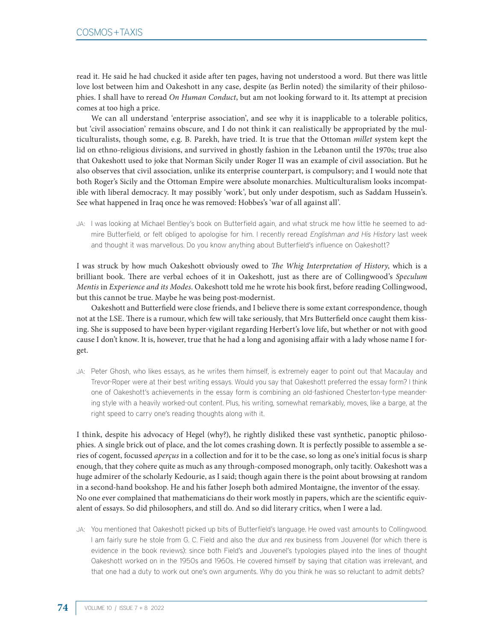read it. He said he had chucked it aside after ten pages, having not understood a word. But there was little love lost between him and Oakeshott in any case, despite (as Berlin noted) the similarity of their philosophies. I shall have to reread *On Human Conduct*, but am not looking forward to it. Its attempt at precision comes at too high a price.

We can all understand 'enterprise association', and see why it is inapplicable to a tolerable politics, but 'civil association' remains obscure, and I do not think it can realistically be appropriated by the multiculturalists, though some, e.g. B. Parekh, have tried. It is true that the Ottoman *millet* system kept the lid on ethno-religious divisions, and survived in ghostly fashion in the Lebanon until the 1970s; true also that Oakeshott used to joke that Norman Sicily under Roger II was an example of civil association. But he also observes that civil association, unlike its enterprise counterpart, is compulsory; and I would note that both Roger's Sicily and the Ottoman Empire were absolute monarchies. Multiculturalism looks incompatible with liberal democracy. It may possibly 'work', but only under despotism, such as Saddam Hussein's. See what happened in Iraq once he was removed: Hobbes's 'war of all against all'.

JA: I was looking at Michael Bentley's book on Butterfield again, and what struck me how little he seemed to admire Butterfield, or felt obliged to apologise for him. I recently reread Englishman and His History last week and thought it was marvellous. Do you know anything about Butterfield's influence on Oakeshott?

I was struck by how much Oakeshott obviously owed to *The Whig Interpretation of History*, which is a brilliant book. There are verbal echoes of it in Oakeshott, just as there are of Collingwood's *Speculum Mentis* in *Experience and its Modes*. Oakeshott told me he wrote his book first, before reading Collingwood, but this cannot be true. Maybe he was being post-modernist.

Oakeshott and Butterfield were close friends, and I believe there is some extant correspondence, though not at the LSE. There is a rumour, which few will take seriously, that Mrs Butterfield once caught them kissing. She is supposed to have been hyper-vigilant regarding Herbert's love life, but whether or not with good cause I don't know. It is, however, true that he had a long and agonising affair with a lady whose name I forget.

JA: Peter Ghosh, who likes essays, as he writes them himself, is extremely eager to point out that Macaulay and Trevor-Roper were at their best writing essays. Would you say that Oakeshott preferred the essay form? I think one of Oakeshott's achievements in the essay form is combining an old-fashioned Chesterton-type meandering style with a heavily worked-out content. Plus, his writing, somewhat remarkably, moves, like a barge, at the right speed to carry one's reading thoughts along with it.

I think, despite his advocacy of Hegel (why?), he rightly disliked these vast synthetic, panoptic philosophies. A single brick out of place, and the lot comes crashing down. It is perfectly possible to assemble a series of cogent, focussed *aperçus* in a collection and for it to be the case, so long as one's initial focus is sharp enough, that they cohere quite as much as any through-composed monograph, only tacitly. Oakeshott was a huge admirer of the scholarly Kedourie, as I said; though again there is the point about browsing at random in a second-hand bookshop. He and his father Joseph both admired Montaigne, the inventor of the essay. No one ever complained that mathematicians do their work mostly in papers, which are the scientific equivalent of essays. So did philosophers, and still do. And so did literary critics, when I were a lad.

JA: You mentioned that Oakeshott picked up bits of Butterfield's language. He owed vast amounts to Collingwood. I am fairly sure he stole from G. C. Field and also the dux and rex business from Jouvenel (for which there is evidence in the book reviews): since both Field's and Jouvenel's typologies played into the lines of thought Oakeshott worked on in the 1950s and 1960s. He covered himself by saying that citation was irrelevant, and that one had a duty to work out one's own arguments. Why do you think he was so reluctant to admit debts?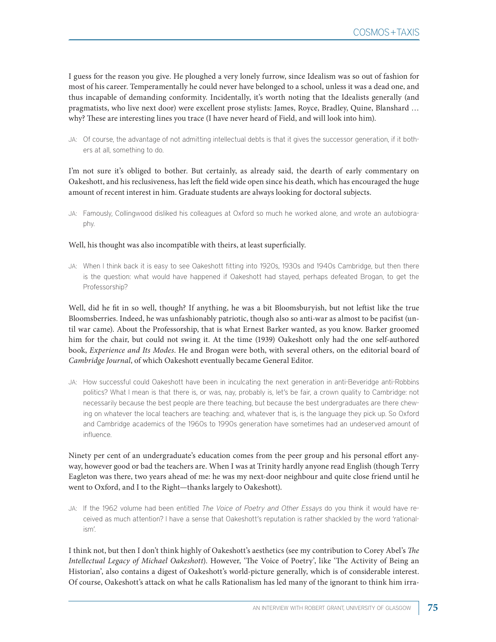I guess for the reason you give. He ploughed a very lonely furrow, since Idealism was so out of fashion for most of his career. Temperamentally he could never have belonged to a school, unless it was a dead one, and thus incapable of demanding conformity. Incidentally, it's worth noting that the Idealists generally (and pragmatists, who live next door) were excellent prose stylists: James, Royce, Bradley, Quine, Blanshard … why? These are interesting lines you trace (I have never heard of Field, and will look into him).

JA: Of course, the advantage of not admitting intellectual debts is that it gives the successor generation, if it bothers at all, something to do.

I'm not sure it's obliged to bother. But certainly, as already said, the dearth of early commentary on Oakeshott, and his reclusiveness, has left the field wide open since his death, which has encouraged the huge amount of recent interest in him. Graduate students are always looking for doctoral subjects.

JA: Famously, Collingwood disliked his colleagues at Oxford so much he worked alone, and wrote an autobiography.

### Well, his thought was also incompatible with theirs, at least superficially.

JA: When I think back it is easy to see Oakeshott fitting into 1920s, 1930s and 1940s Cambridge, but then there is the question: what would have happened if Oakeshott had stayed, perhaps defeated Brogan, to get the Professorship?

Well, did he fit in so well, though? If anything, he was a bit Bloomsburyish, but not leftist like the true Bloomsberries. Indeed, he was unfashionably patriotic, though also so anti-war as almost to be pacifist (until war came). About the Professorship, that is what Ernest Barker wanted, as you know. Barker groomed him for the chair, but could not swing it. At the time (1939) Oakeshott only had the one self-authored book, *Experience and Its Modes*. He and Brogan were both, with several others, on the editorial board of *Cambridge Journal*, of which Oakeshott eventually became General Editor.

JA: How successful could Oakeshott have been in inculcating the next generation in anti-Beveridge anti-Robbins politics? What I mean is that there is, or was, nay, probably is, let's be fair, a crown quality to Cambridge: not necessarily because the best people are there teaching, but because the best undergraduates are there chewing on whatever the local teachers are teaching: and, whatever that is, is the language they pick up. So Oxford and Cambridge academics of the 1960s to 1990s generation have sometimes had an undeserved amount of influence.

Ninety per cent of an undergraduate's education comes from the peer group and his personal effort anyway, however good or bad the teachers are. When I was at Trinity hardly anyone read English (though Terry Eagleton was there, two years ahead of me: he was my next-door neighbour and quite close friend until he went to Oxford, and I to the Right—thanks largely to Oakeshott).

JA: If the 1962 volume had been entitled The Voice of Poetry and Other Essays do you think it would have received as much attention? I have a sense that Oakeshott's reputation is rather shackled by the word 'rationalism'.

I think not, but then I don't think highly of Oakeshott's aesthetics (see my contribution to Corey Abel's *The Intellectual Legacy of Michael Oakeshott*). However, 'The Voice of Poetry', like 'The Activity of Being an Historian', also contains a digest of Oakeshott's world-picture generally, which is of considerable interest. Of course, Oakeshott's attack on what he calls Rationalism has led many of the ignorant to think him irra-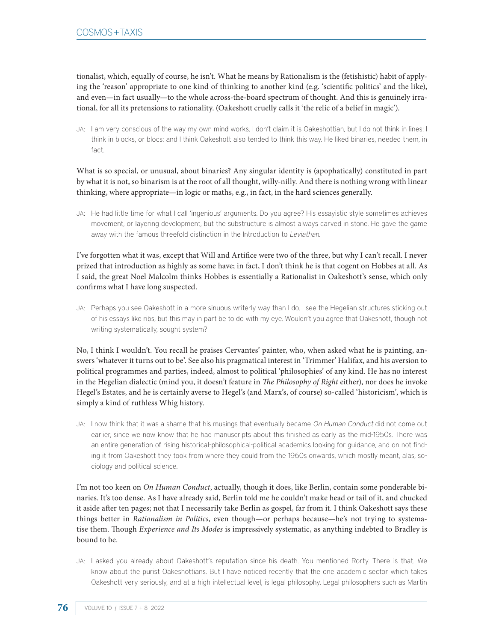tionalist, which, equally of course, he isn't. What he means by Rationalism is the (fetishistic) habit of applying the 'reason' appropriate to one kind of thinking to another kind (e.g. 'scientific politics' and the like), and even—in fact usually—to the whole across-the-board spectrum of thought. And this is genuinely irrational, for all its pretensions to rationality. (Oakeshott cruelly calls it 'the relic of a belief in magic').

JA: I am very conscious of the way my own mind works. I don't claim it is Oakeshottian, but I do not think in lines: I think in blocks, or blocs: and I think Oakeshott also tended to think this way. He liked binaries, needed them, in fact.

What is so special, or unusual, about binaries? Any singular identity is (apophatically) constituted in part by what it is not, so binarism is at the root of all thought, willy-nilly. And there is nothing wrong with linear thinking, where appropriate—in logic or maths, e.g., in fact, in the hard sciences generally.

JA: He had little time for what I call 'ingenious' arguments. Do you agree? His essayistic style sometimes achieves movement, or layering development, but the substructure is almost always carved in stone. He gave the game away with the famous threefold distinction in the Introduction to Leviathan.

I've forgotten what it was, except that Will and Artifice were two of the three, but why I can't recall. I never prized that introduction as highly as some have; in fact, I don't think he is that cogent on Hobbes at all. As I said, the great Noel Malcolm thinks Hobbes is essentially a Rationalist in Oakeshott's sense, which only confirms what I have long suspected.

JA: Perhaps you see Oakeshott in a more sinuous writerly way than I do. I see the Hegelian structures sticking out of his essays like ribs, but this may in part be to do with my eye. Wouldn't you agree that Oakeshott, though not writing systematically, sought system?

No, I think I wouldn't. You recall he praises Cervantes' painter, who, when asked what he is painting, answers 'whatever it turns out to be'. See also his pragmatical interest in 'Trimmer' Halifax, and his aversion to political programmes and parties, indeed, almost to political 'philosophies' of any kind. He has no interest in the Hegelian dialectic (mind you, it doesn't feature in *The Philosophy of Right* either), nor does he invoke Hegel's Estates, and he is certainly averse to Hegel's (and Marx's, of course) so-called 'historicism', which is simply a kind of ruthless Whig history.

JA: I now think that it was a shame that his musings that eventually became On Human Conduct did not come out earlier, since we now know that he had manuscripts about this finished as early as the mid-1950s. There was an entire generation of rising historical-philosophical-political academics looking for guidance, and on not finding it from Oakeshott they took from where they could from the 1960s onwards, which mostly meant, alas, sociology and political science.

I'm not too keen on *On Human Conduct*, actually, though it does, like Berlin, contain some ponderable binaries. It's too dense. As I have already said, Berlin told me he couldn't make head or tail of it, and chucked it aside after ten pages; not that I necessarily take Berlin as gospel, far from it. I think Oakeshott says these things better in *Rationalism in Politics*, even though—or perhaps because—he's not trying to systematise them. Though *Experience and Its Modes* is impressively systematic, as anything indebted to Bradley is bound to be.

JA: I asked you already about Oakeshott's reputation since his death. You mentioned Rorty. There is that. We know about the purist Oakeshottians. But I have noticed recently that the one academic sector which takes Oakeshott very seriously, and at a high intellectual level, is legal philosophy. Legal philosophers such as Martin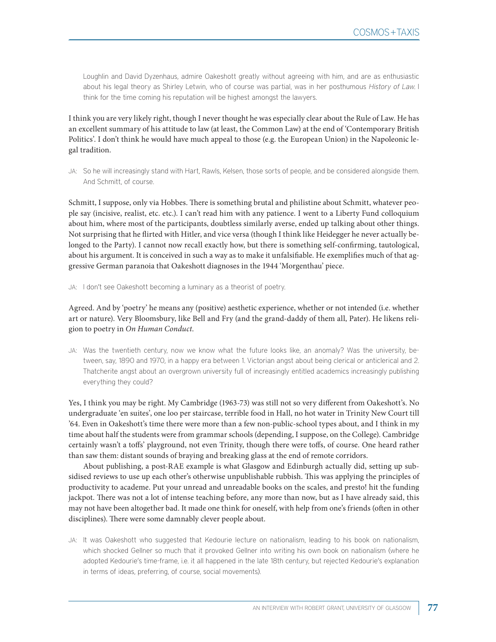Loughlin and David Dyzenhaus, admire Oakeshott greatly without agreeing with him, and are as enthusiastic about his legal theory as Shirley Letwin, who of course was partial, was in her posthumous History of Law. I think for the time coming his reputation will be highest amongst the lawyers.

I think you are very likely right, though I never thought he was especially clear about the Rule of Law. He has an excellent summary of his attitude to law (at least, the Common Law) at the end of 'Contemporary British Politics'. I don't think he would have much appeal to those (e.g. the European Union) in the Napoleonic legal tradition.

JA: So he will increasingly stand with Hart, Rawls, Kelsen, those sorts of people, and be considered alongside them. And Schmitt, of course.

Schmitt, I suppose, only via Hobbes. There is something brutal and philistine about Schmitt, whatever people say (incisive, realist, etc. etc.). I can't read him with any patience. I went to a Liberty Fund colloquium about him, where most of the participants, doubtless similarly averse, ended up talking about other things. Not surprising that he flirted with Hitler, and vice versa (though I think like Heidegger he never actually belonged to the Party). I cannot now recall exactly how, but there is something self-confirming, tautological, about his argument. It is conceived in such a way as to make it unfalsifiable. He exemplifies much of that aggressive German paranoia that Oakeshott diagnoses in the 1944 'Morgenthau' piece.

JA: I don't see Oakeshott becoming a luminary as a theorist of poetry.

Agreed. And by 'poetry' he means any (positive) aesthetic experience, whether or not intended (i.e. whether art or nature). Very Bloomsbury, like Bell and Fry (and the grand-daddy of them all, Pater). He likens religion to poetry in *On Human Conduct*.

JA: Was the twentieth century, now we know what the future looks like, an anomaly? Was the university, between, say, 1890 and 1970, in a happy era between 1. Victorian angst about being clerical or anticlerical and 2. Thatcherite angst about an overgrown university full of increasingly entitled academics increasingly publishing everything they could?

Yes, I think you may be right. My Cambridge (1963-73) was still not so very different from Oakeshott's. No undergraduate 'en suites', one loo per staircase, terrible food in Hall, no hot water in Trinity New Court till '64. Even in Oakeshott's time there were more than a few non-public-school types about, and I think in my time about half the students were from grammar schools (depending, I suppose, on the College). Cambridge certainly wasn't a toffs' playground, not even Trinity, though there were toffs, of course. One heard rather than saw them: distant sounds of braying and breaking glass at the end of remote corridors.

About publishing, a post-RAE example is what Glasgow and Edinburgh actually did, setting up subsidised reviews to use up each other's otherwise unpublishable rubbish. This was applying the principles of productivity to academe. Put your unread and unreadable books on the scales, and presto! hit the funding jackpot. There was not a lot of intense teaching before, any more than now, but as I have already said, this may not have been altogether bad. It made one think for oneself, with help from one's friends (often in other disciplines). There were some damnably clever people about.

JA: It was Oakeshott who suggested that Kedourie lecture on nationalism, leading to his book on nationalism, which shocked Gellner so much that it provoked Gellner into writing his own book on nationalism (where he adopted Kedourie's time-frame, i.e. it all happened in the late 18th century, but rejected Kedourie's explanation in terms of ideas, preferring, of course, social movements).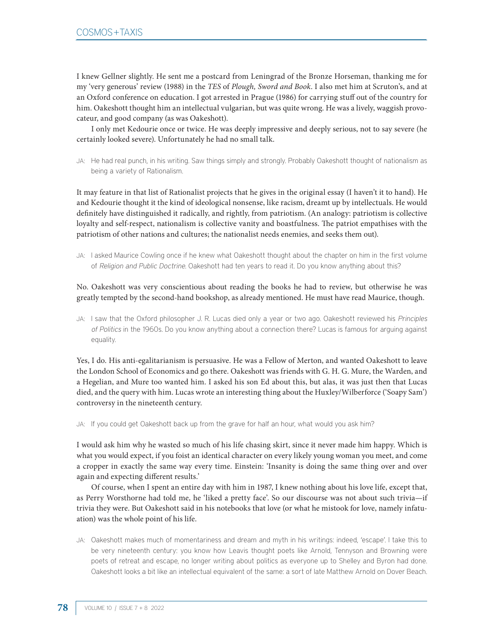I knew Gellner slightly. He sent me a postcard from Leningrad of the Bronze Horseman, thanking me for my 'very generous' review (1988) in the *TES* of *Plough, Sword and Book*. I also met him at Scruton's, and at an Oxford conference on education. I got arrested in Prague (1986) for carrying stuff out of the country for him. Oakeshott thought him an intellectual vulgarian, but was quite wrong. He was a lively, waggish provocateur, and good company (as was Oakeshott).

I only met Kedourie once or twice. He was deeply impressive and deeply serious, not to say severe (he certainly looked severe). Unfortunately he had no small talk.

JA: He had real punch, in his writing. Saw things simply and strongly. Probably Oakeshott thought of nationalism as being a variety of Rationalism.

It may feature in that list of Rationalist projects that he gives in the original essay (I haven't it to hand). He and Kedourie thought it the kind of ideological nonsense, like racism, dreamt up by intellectuals. He would definitely have distinguished it radically, and rightly, from patriotism. (An analogy: patriotism is collective loyalty and self-respect, nationalism is collective vanity and boastfulness. The patriot empathises with the patriotism of other nations and cultures; the nationalist needs enemies, and seeks them out).

JA: I asked Maurice Cowling once if he knew what Oakeshott thought about the chapter on him in the first volume of Religion and Public Doctrine. Oakeshott had ten years to read it. Do you know anything about this?

No. Oakeshott was very conscientious about reading the books he had to review, but otherwise he was greatly tempted by the second-hand bookshop, as already mentioned. He must have read Maurice, though.

JA: I saw that the Oxford philosopher J. R. Lucas died only a year or two ago. Oakeshott reviewed his Principles of Politics in the 1960s. Do you know anything about a connection there? Lucas is famous for arguing against equality.

Yes, I do. His anti-egalitarianism is persuasive. He was a Fellow of Merton, and wanted Oakeshott to leave the London School of Economics and go there. Oakeshott was friends with G. H. G. Mure, the Warden, and a Hegelian, and Mure too wanted him. I asked his son Ed about this, but alas, it was just then that Lucas died, and the query with him. Lucas wrote an interesting thing about the Huxley/Wilberforce ('Soapy Sam') controversy in the nineteenth century.

JA: If you could get Oakeshott back up from the grave for half an hour, what would you ask him?

I would ask him why he wasted so much of his life chasing skirt, since it never made him happy. Which is what you would expect, if you foist an identical character on every likely young woman you meet, and come a cropper in exactly the same way every time. Einstein: 'Insanity is doing the same thing over and over again and expecting different results.'

Of course, when I spent an entire day with him in 1987, I knew nothing about his love life, except that, as Perry Worsthorne had told me, he 'liked a pretty face'. So our discourse was not about such trivia—if trivia they were. But Oakeshott said in his notebooks that love (or what he mistook for love, namely infatuation) was the whole point of his life.

JA: Oakeshott makes much of momentariness and dream and myth in his writings: indeed, 'escape'. I take this to be very nineteenth century: you know how Leavis thought poets like Arnold, Tennyson and Browning were poets of retreat and escape, no longer writing about politics as everyone up to Shelley and Byron had done. Oakeshott looks a bit like an intellectual equivalent of the same: a sort of late Matthew Arnold on Dover Beach.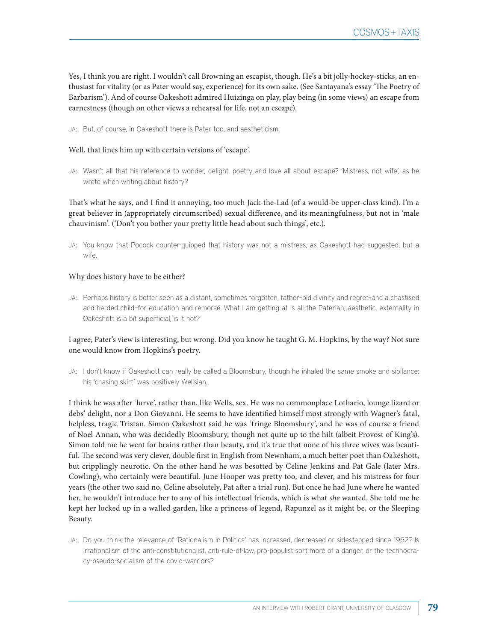Yes, I think you are right. I wouldn't call Browning an escapist, though. He's a bit jolly-hockey-sticks, an enthusiast for vitality (or as Pater would say, experience) for its own sake. (See Santayana's essay 'The Poetry of Barbarism'). And of course Oakeshott admired Huizinga on play, play being (in some views) an escape from earnestness (though on other views a rehearsal for life, not an escape).

JA: But, of course, in Oakeshott there is Pater too, and aestheticism.

#### Well, that lines him up with certain versions of 'escape'.

JA: Wasn't all that his reference to wonder, delight, poetry and love all about escape? 'Mistress, not wife', as he wrote when writing about history?

That's what he says, and I find it annoying, too much Jack-the-Lad (of a would-be upper-class kind). I'm a great believer in (appropriately circumscribed) sexual difference, and its meaningfulness, but not in 'male chauvinism'. ('Don't you bother your pretty little head about such things', etc.).

JA: You know that Pocock counter-quipped that history was not a mistress, as Oakeshott had suggested, but a wife.

#### Why does history have to be either?

JA: Perhaps history is better seen as a distant, sometimes forgotten, father—old divinity and regret—and a chastised and herded child—for education and remorse. What I am getting at is all the Paterian, aesthetic, externality in Oakeshott is a bit superficial, is it not?

## I agree, Pater's view is interesting, but wrong. Did you know he taught G. M. Hopkins, by the way? Not sure one would know from Hopkins's poetry.

JA: I don't know if Oakeshott can really be called a Bloomsbury, though he inhaled the same smoke and sibilance; his 'chasing skirt' was positively Wellsian.

I think he was after 'lurve', rather than, like Wells, sex. He was no commonplace Lothario, lounge lizard or debs' delight, nor a Don Giovanni. He seems to have identified himself most strongly with Wagner's fatal, helpless, tragic Tristan. Simon Oakeshott said he was 'fringe Bloomsbury', and he was of course a friend of Noel Annan, who was decidedly Bloomsbury, though not quite up to the hilt (albeit Provost of King's). Simon told me he went for brains rather than beauty, and it's true that none of his three wives was beautiful. The second was very clever, double first in English from Newnham, a much better poet than Oakeshott, but cripplingly neurotic. On the other hand he was besotted by Celine Jenkins and Pat Gale (later Mrs. Cowling), who certainly were beautiful. June Hooper was pretty too, and clever, and his mistress for four years (the other two said no, Celine absolutely, Pat after a trial run). But once he had June where he wanted her, he wouldn't introduce her to any of his intellectual friends, which is what *she* wanted. She told me he kept her locked up in a walled garden, like a princess of legend, Rapunzel as it might be, or the Sleeping Beauty.

JA: Do you think the relevance of 'Rationalism in Politics' has increased, decreased or sidestepped since 1962? Is irrationalism of the anti-constitutionalist, anti-rule-of-law, pro-populist sort more of a danger, or the technocracy-pseudo-socialism of the covid-warriors?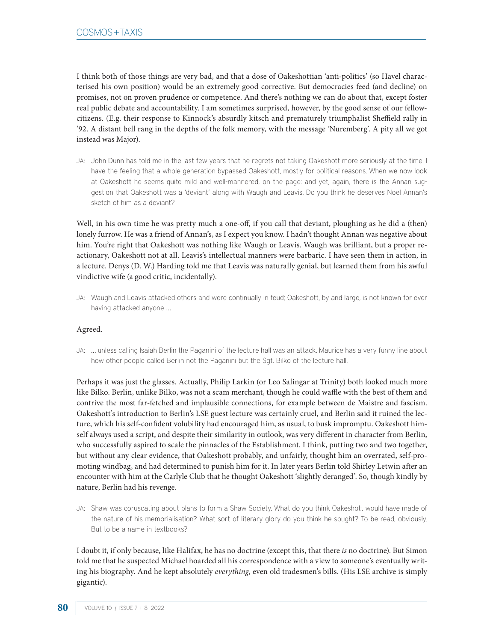I think both of those things are very bad, and that a dose of Oakeshottian 'anti-politics' (so Havel characterised his own position) would be an extremely good corrective. But democracies feed (and decline) on promises, not on proven prudence or competence. And there's nothing we can do about that, except foster real public debate and accountability. I am sometimes surprised, however, by the good sense of our fellowcitizens. (E.g. their response to Kinnock's absurdly kitsch and prematurely triumphalist Sheffield rally in '92. A distant bell rang in the depths of the folk memory, with the message 'Nuremberg'. A pity all we got instead was Major).

JA: John Dunn has told me in the last few years that he regrets not taking Oakeshott more seriously at the time. I have the feeling that a whole generation bypassed Oakeshott, mostly for political reasons. When we now look at Oakeshott he seems quite mild and well-mannered, on the page: and yet, again, there is the Annan suggestion that Oakeshott was a 'deviant' along with Waugh and Leavis. Do you think he deserves Noel Annan's sketch of him as a deviant?

Well, in his own time he was pretty much a one-off, if you call that deviant, ploughing as he did a (then) lonely furrow. He was a friend of Annan's, as I expect you know. I hadn't thought Annan was negative about him. You're right that Oakeshott was nothing like Waugh or Leavis. Waugh was brilliant, but a proper reactionary, Oakeshott not at all. Leavis's intellectual manners were barbaric. I have seen them in action, in a lecture. Denys (D. W.) Harding told me that Leavis was naturally genial, but learned them from his awful vindictive wife (a good critic, incidentally).

JA: Waugh and Leavis attacked others and were continually in feud; Oakeshott, by and large, is not known for ever having attacked anyone …

### Agreed.

JA: … unless calling Isaiah Berlin the Paganini of the lecture hall was an attack. Maurice has a very funny line about how other people called Berlin not the Paganini but the Sgt. Bilko of the lecture hall.

Perhaps it was just the glasses. Actually, Philip Larkin (or Leo Salingar at Trinity) both looked much more like Bilko. Berlin, unlike Bilko, was not a scam merchant, though he could waffle with the best of them and contrive the most far-fetched and implausible connections, for example between de Maistre and fascism. Oakeshott's introduction to Berlin's LSE guest lecture was certainly cruel, and Berlin said it ruined the lecture, which his self-confident volubility had encouraged him, as usual, to busk impromptu. Oakeshott himself always used a script, and despite their similarity in outlook, was very different in character from Berlin, who successfully aspired to scale the pinnacles of the Establishment. I think, putting two and two together, but without any clear evidence, that Oakeshott probably, and unfairly, thought him an overrated, self-promoting windbag, and had determined to punish him for it. In later years Berlin told Shirley Letwin after an encounter with him at the Carlyle Club that he thought Oakeshott 'slightly deranged'. So, though kindly by nature, Berlin had his revenge.

JA: Shaw was coruscating about plans to form a Shaw Society. What do you think Oakeshott would have made of the nature of his memorialisation? What sort of literary glory do you think he sought? To be read, obviously. But to be a name in textbooks?

I doubt it, if only because, like Halifax, he has no doctrine (except this, that there *is* no doctrine). But Simon told me that he suspected Michael hoarded all his correspondence with a view to someone's eventually writing his biography. And he kept absolutely *everything*, even old tradesmen's bills. (His LSE archive is simply gigantic).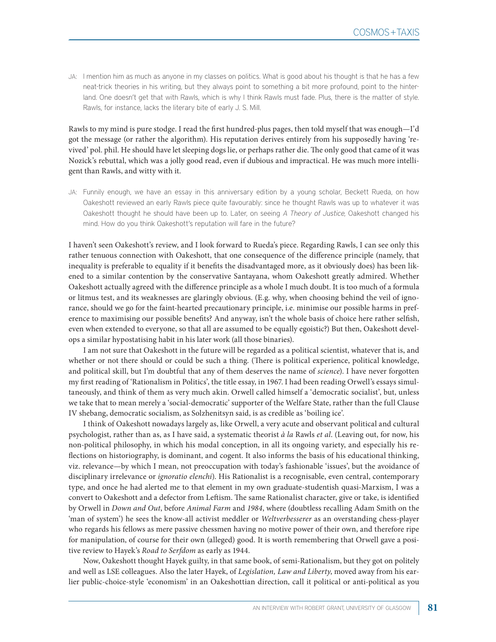JA: I mention him as much as anyone in my classes on politics. What is good about his thought is that he has a few neat-trick theories in his writing, but they always point to something a bit more profound, point to the hinterland. One doesn't get that with Rawls, which is why I think Rawls must fade. Plus, there is the matter of style. Rawls, for instance, lacks the literary bite of early J. S. Mill.

Rawls to my mind is pure stodge. I read the first hundred-plus pages, then told myself that was enough—I'd got the message (or rather the algorithm). His reputation derives entirely from his supposedly having 'revived' pol. phil. He should have let sleeping dogs lie, or perhaps rather die. The only good that came of it was Nozick's rebuttal, which was a jolly good read, even if dubious and impractical. He was much more intelligent than Rawls, and witty with it.

JA: Funnily enough, we have an essay in this anniversary edition by a young scholar, Beckett Rueda, on how Oakeshott reviewed an early Rawls piece quite favourably: since he thought Rawls was up to whatever it was Oakeshott thought he should have been up to. Later, on seeing A Theory of Justice, Oakeshott changed his mind. How do you think Oakeshott's reputation will fare in the future?

I haven't seen Oakeshott's review, and I look forward to Rueda's piece. Regarding Rawls, I can see only this rather tenuous connection with Oakeshott, that one consequence of the difference principle (namely, that inequality is preferable to equality if it benefits the disadvantaged more, as it obviously does) has been likened to a similar contention by the conservative Santayana, whom Oakeshott greatly admired. Whether Oakeshott actually agreed with the difference principle as a whole I much doubt. It is too much of a formula or litmus test, and its weaknesses are glaringly obvious. (E.g. why, when choosing behind the veil of ignorance, should we go for the faint-hearted precautionary principle, i.e. minimise our possible harms in preference to maximising our possible benefits? And anyway, isn't the whole basis of choice here rather selfish, even when extended to everyone, so that all are assumed to be equally egoistic?) But then, Oakeshott develops a similar hypostatising habit in his later work (all those binaries).

I am not sure that Oakeshott in the future will be regarded as a political scientist, whatever that is, and whether or not there should or could be such a thing. (There is political experience, political knowledge, and political skill, but I'm doubtful that any of them deserves the name of *science*). I have never forgotten my first reading of 'Rationalism in Politics', the title essay, in 1967. I had been reading Orwell's essays simultaneously, and think of them as very much akin. Orwell called himself a 'democratic socialist', but, unless we take that to mean merely a 'social-democratic' supporter of the Welfare State, rather than the full Clause IV shebang, democratic socialism, as Solzhenitsyn said, is as credible as 'boiling ice'.

I think of Oakeshott nowadays largely as, like Orwell, a very acute and observant political and cultural psychologist, rather than as, as I have said, a systematic theorist *à la* Rawls *et al*. (Leaving out, for now, his non-political philosophy, in which his modal conception, in all its ongoing variety, and especially his reflections on historiography, is dominant, and cogent. It also informs the basis of his educational thinking, viz. relevance—by which I mean, not preoccupation with today's fashionable 'issues', but the avoidance of disciplinary irrelevance or *ignoratio elenchi*). His Rationalist is a recognisable, even central, contemporary type, and once he had alerted me to that element in my own graduate-studentish quasi-Marxism, I was a convert to Oakeshott and a defector from Leftism. The same Rationalist character, give or take, is identified by Orwell in *Down and Out*, before *Animal Farm* and *1984*, where (doubtless recalling Adam Smith on the 'man of system') he sees the know-all activist meddler or *Weltverbesserer* as an overstanding chess-player who regards his fellows as mere passive chessmen having no motive power of their own, and therefore ripe for manipulation, of course for their own (alleged) good. It is worth remembering that Orwell gave a positive review to Hayek's *Road to Serfdom* as early as 1944.

Now, Oakeshott thought Hayek guilty, in that same book, of semi-Rationalism, but they got on politely and well as LSE colleagues. Also the later Hayek, of *Legislation, Law and Liberty*, moved away from his earlier public-choice-style 'economism' in an Oakeshottian direction, call it political or anti-political as you